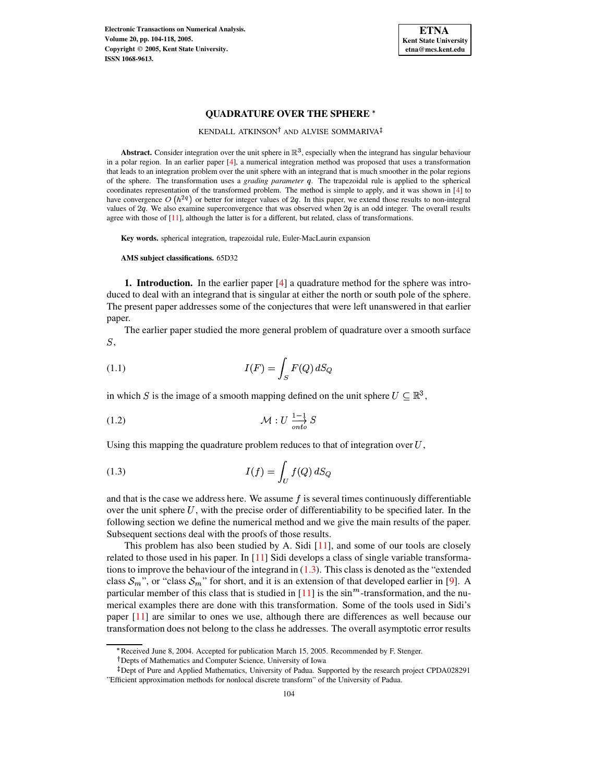**Electronic Transactions on Numerical Analysis. Volume 20, pp. 104-118, 2005. Copyright 2005, Kent State University. ISSN 1068-9613.**



## **QUADRATURE OVER THE SPHERE**

KENDALL ATKINSON<sup>†</sup> AND ALVISE SOMMARIVA

**Abstract.** Consider integration over the unit sphere in  $\mathbb{R}^3$ , especially when the integrand has singular behaviour in a polar region. In an earlier paper [\[4\]](#page-13-0), a numerical integration method was proposed that uses a transformation that leads to an integration problem over the unit sphere with an integrand that is much smoother in the polar regions of the sphere. The transformation uses a *grading parameter* . The trapezoidal rule is applied to the spherical coordinates representation of the transformed problem. The method is simple to apply, and it was shown in [\[4\]](#page-13-0) to have convergence O  $(h^{2q})$  or better for integer values of 2q. In this paper, we extend those results to non-integral values of  $2q$ . We also examine superconvergence that was observed when  $2q$  is an odd integer. The overall results agree with those of [\[11\]](#page-13-1), although the latter is for a different, but related, class of transformations.

**Key words.** spherical integration, trapezoidal rule, Euler-MacLaurin expansion

**AMS subject classifications.** 65D32

**1. Introduction.** In the earlier paper [\[4\]](#page-13-0) a quadrature method for the sphere was introduced to deal with an integrand that is singular at either the north or south pole of the sphere. The present paper addresses some of the conjectures that were left unanswered in that earlier paper.

The earlier paper studied the more general problem of quadrature over a smooth surface  $S$ ,

$$
(1.1)\qquad \qquad I(F) = \int_{S} F(Q) \, dS_Q
$$

in which S is the image of a smooth mapping defined on the unit sphere  $U \subseteq \mathbb{R}^3$ ,

$$
(1.2)\quad \mathcal{M}: U \frac{1-1}{\text{onto}} S
$$

<span id="page-0-0"></span>Using this mapping the quadrature problem reduces to that of integration over  $U$ ,

$$
(1.3)\qquad \qquad I(f) = \int_U f(Q) \, dS_Q
$$

and that is the case we address here. We assume  $f$  is several times continuously differentiable over the unit sphere  $U$ , with the precise order of differentiability to be specified later. In the following section we define the numerical method and we give the main results of the paper. Subsequent sections deal with the proofs of those results.

This problem has also been studied by A. Sidi [\[11\]](#page-13-1), and some of our tools are closely related to those used in his paper. In  $[11]$  Sidi develops a class of single variable transformations to improve the behaviour of the integrand in  $(1.3)$ . This class is denoted as the "extended" class  $S_m$ ", or "class  $S_m$ " for short, and it is an extension of that developed earlier in [\[9\]](#page-13-2). A particular member of this class that is studied in  $[11]$  is the  $\sin^m$ -transformation, and the numerical examples there are done with this transformation. Some of the tools used in Sidi's paper [\[11\]](#page-13-1) are similar to ones we use, although there are differences as well because our transformation does not belong to the class he addresses. The overall asymptotic error results

<sup>\*</sup> Received June 8, 2004. Accepted for publication March 15, 2005. Recommended by F. Stenger.

Depts of Mathematics and Computer Science, University of Iowa

<sup>&</sup>lt;sup>‡</sup> Dept of Pure and Applied Mathematics, University of Padua. Supported by the research project CPDA028291 "Efficient approximation methods for nonlocal discrete transform" of the University of Padua.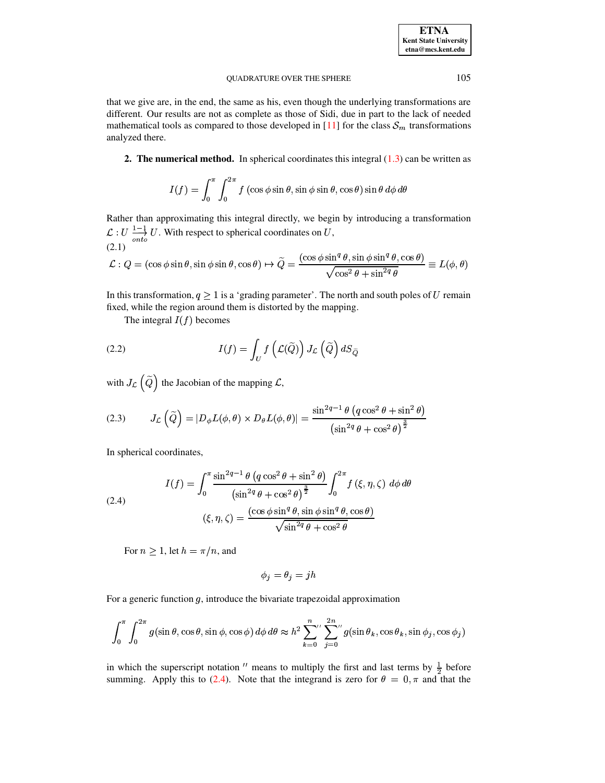## QUADRATURE OVER THE SPHERE 105

that we give are, in the end, the same as his, even though the underlying transformations are different. Our results are not as complete as those of Sidi, due in part to the lack of needed mathematical tools as compared to those developed in [\[11\]](#page-13-1) for the class  $S_m$  transformations analyzed there.

**2. The numerical method.** In spherical coordinates this integral [\(1.3\)](#page-0-0) can be written as

<span id="page-1-1"></span>
$$
I(f) = \int_0^{\pi} \int_0^{2\pi} f(\cos \phi \sin \theta, \sin \phi \sin \theta, \cos \theta) \sin \theta \, d\phi \, d\theta
$$

Rather than approximating this integral directly, we begin by introducing a transformation  $\mathcal{L}: U \longrightarrow U$ . With respect to spherical coordinates on U, (2.1)

$$
\mathcal{L}: Q = (\cos \phi \sin \theta, \sin \phi \sin \theta, \cos \theta) \mapsto \widetilde{Q} = \frac{(\cos \phi \sin^q \theta, \sin \phi \sin^q \theta, \cos \theta)}{\sqrt{\cos^2 \theta + \sin^{2q} \theta}} \equiv L(\phi, \theta)
$$

In this transformation,  $q \geq 1$  is a 'grading parameter'. The north and south poles of U remain fixed, while the region around them is distorted by the mapping.

The integral  $I(f)$  becomes

(2.2) 
$$
I(f) = \int_{U} f\left(\mathcal{L}(\widetilde{Q})\right) J_{\mathcal{L}}\left(\widetilde{Q}\right) dS_{\widetilde{Q}}
$$

with  $J_{\mathcal{L}}(Q)$  the Jacobian of the mapping  $\mathcal{L}$ ,

(2.3) 
$$
J_{\mathcal{L}}\left(\widetilde{Q}\right) = |D_{\phi}L(\phi,\theta) \times D_{\theta}L(\phi,\theta)| = \frac{\sin^{2q-1}\theta \left(q\cos^{2}\theta + \sin^{2}\theta\right)}{\left(\sin^{2q}\theta + \cos^{2}\theta\right)^{\frac{3}{2}}}
$$

<span id="page-1-0"></span>In spherical coordinates,

(2.4)  

$$
I(f) = \int_0^{\pi} \frac{\sin^{2q-1}\theta \left(q\cos^2\theta + \sin^2\theta\right)}{\left(\sin^{2q}\theta + \cos^2\theta\right)^{\frac{3}{2}}} \int_0^{2\pi} f\left(\xi, \eta, \zeta\right) d\phi d\theta
$$

$$
(\xi, \eta, \zeta) = \frac{(\cos\phi \sin^q \theta, \sin\phi \sin^q \theta, \cos\theta)}{\sqrt{\sin^{2q}\theta + \cos^2\theta}}
$$

For  $n \geq 1$ , let  $h = \pi/n$ , and

$$
\phi_j=\theta_j=jh
$$

For a generic function  $g$ , introduce the bivariate trapezoidal approximation

$$
\int_0^{\pi} \int_0^{2\pi} g(\sin \theta, \cos \theta, \sin \phi, \cos \phi) d\phi d\theta \approx h^2 \sum_{k=0}^n \sum_{j=0}^{2n} g(\sin \theta_k, \cos \theta_k, \sin \phi_j, \cos \phi_j)
$$

in which the superscript notation " means to multiply the first and last terms by  $\frac{1}{2}$  before summing. Apply this to [\(2.4\)](#page-1-0). Note that the integrand is zero for  $\theta = 0, \pi$  and that the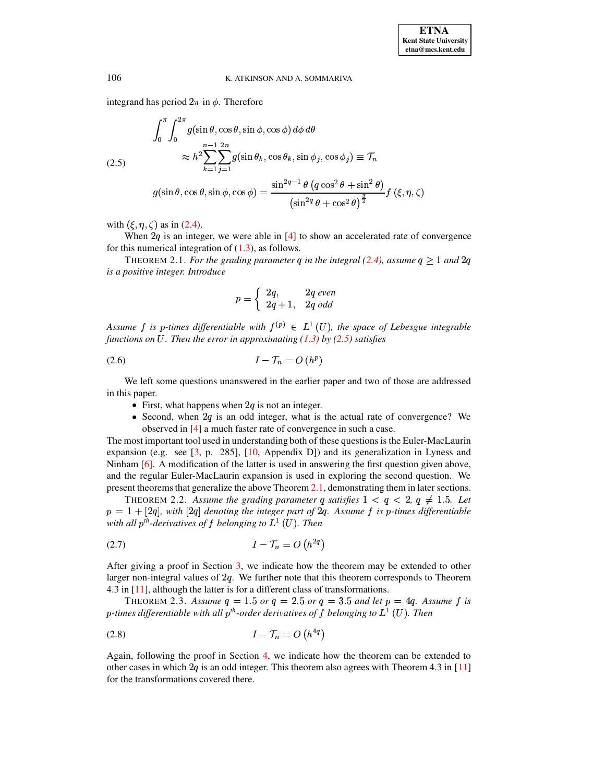<span id="page-2-0"></span>integrand has period  $2\pi$  in  $\phi$ . Therefore

$$
\int_0^{\pi} \int_0^{2\pi} g(\sin \theta, \cos \theta, \sin \phi, \cos \phi) d\phi d\theta
$$
\n
$$
(2.5) \approx h^2 \sum_{k=1}^{n-1} \sum_{j=1}^{2n} g(\sin \theta_k, \cos \theta_k, \sin \phi_j, \cos \phi_j) \equiv \mathcal{T}_n
$$
\n
$$
g(\sin \theta, \cos \theta, \sin \phi, \cos \phi) = \frac{\sin^{2q-1} \theta (q \cos^2 \theta + \sin^2 \theta)}{(\sin^{2q} \theta + \cos^2 \theta)^{\frac{3}{2}}} f(\xi, \eta, \zeta)
$$

with  $(\xi, \eta, \zeta)$  as in [\(2.4\)](#page-1-0).

<span id="page-2-1"></span>When  $2q$  is an integer, we were able in [\[4\]](#page-13-0) to show an accelerated rate of convergence for this numerical integration of  $(1.3)$ , as follows.

THEOREM 2.1. *For the grading parameter q in the integral [\(2.4\)](#page-1-0), assume*  $q \geq 1$  *and*  $2q$ *is a positive integer. Introduce*

$$
p = \left\{ \begin{array}{ll} 2q, & 2q \ even \\ 2q+1, & 2q \ odd \end{array} \right.
$$

*Assume*  $f$  *is*  $p$ -times differentiable with  $f^{(p)} \in L^1(U)$ , the space of Lebesgue integrable *functions on* U. Then the error in approximating [\(1.3\)](#page-0-0) by [\(2.5\)](#page-2-0) satisfies

$$
(2.6) \t\t I - \mathcal{T}_n = O(h^p)
$$

We left some questions unanswered in the earlier paper and two of those are addressed in this paper.

- First, what happens when  $2q$  is not an integer.
- Second, when  $2q$  is an odd integer, what is the actual rate of convergence? We observed in [\[4\]](#page-13-0) a much faster rate of convergence in such a case.

The most important tool used in understanding both of these questionsis the Euler-MacLaurin expansion (e.g. see  $[3, p. 285]$  $[3, p. 285]$ ,  $[10,$  Appendix D]) and its generalization in Lyness and Ninham [\[6\]](#page-13-5). A modification of the latter is used in answering the first question given above, and the regular Euler-MacLaurin expansion is used in exploring the second question. We present theoremsthat generalize the above Theorem [2.1,](#page-2-1) demonstrating them in later sections.

<span id="page-2-3"></span>THEOREM 2.2. Assume the grading parameter q satisfies  $1 < q < 2$ ,  $q \neq 1.5$ . Let  $p = 1 + [2q]$ , with  $[2q]$  denoting the integer part of  $2q$ . Assume f is p-times differentiable  $p = 1 + 2q$ , with [2q] denoting the integer part of 2q. Assume f is p-times differentiable *y*  $p = 1 + [2q]$ , with  $[2q]$  denoting the integer part of 2<br>with all  $p^{th}$ -derivatives of f belonging to  $L^1(U)$ . Then

<span id="page-2-2"></span>
$$
(2.7) \tI - \mathcal{T}_n = O(h^{2q})
$$

After giving a proof in Section [3,](#page-3-0) we indicate how the theorem may be extended to other larger non-integral values of  $2q$ . We further note that this theorem corresponds to Theorem 4.3 in [\[11\]](#page-13-1), although the latter is for a different class of transformations.

<span id="page-2-5"></span><span id="page-2-4"></span>THEOREM 2.3. Assume  $q = 1.5$  or  $q = 2.5$  or  $q = 3.5$  and let  $p = 4q$ . Assume f is  $\sigma$ -times differentiable with all  $p^{th}$ -order derivatives of f belonging to  $L^1(U)$ . Then<br>*times* differentiable with all  $p^{th}$ -order derivatives of f belonging to  $L^1(U)$ . Then

$$
(2.8)\qquad \qquad I - \mathcal{T}_n = O\left(h^{4q}\right)
$$

Again, following the proof in Section [4,](#page-9-0) we indicate how the theorem can be extended to other cases in which  $2q$  is an odd integer. This theorem also agrees with Theorem 4.3 in [\[11\]](#page-13-1) for the transformations covered there.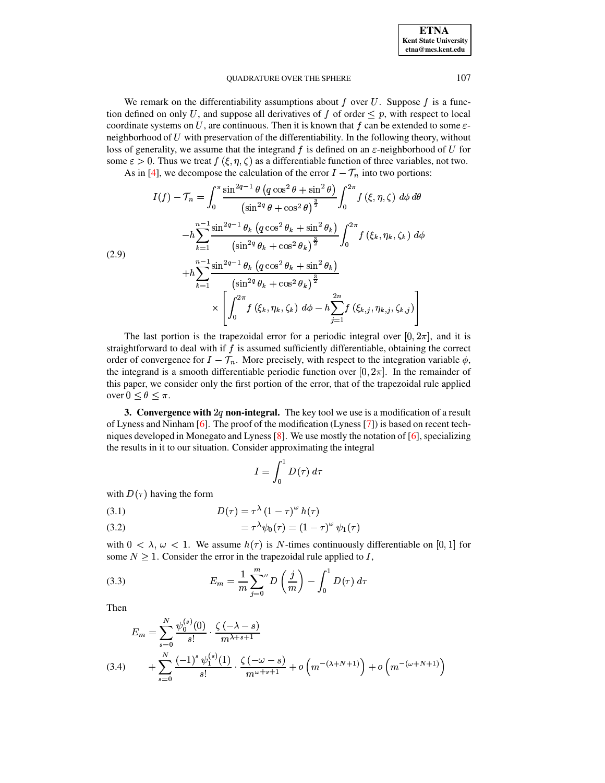#### <span id="page-3-2"></span>**OUADRATURE OVER THE SPHERE**

We remark on the differentiability assumptions about  $f$  over  $U$ . Suppose  $f$  is a function defined on only U, and suppose all derivatives of f of order  $\leq p$ , with respect to local coordinate systems on U, are continuous. Then it is known that f can be extended to some  $\varepsilon$ neighborhood of  $U$  with preservation of the differentiability. In the following theory, without loss of generality, we assume that the integrand f is defined on an  $\varepsilon$ -neighborhood of U for some  $\varepsilon > 0$ . Thus we treat  $f(\xi, \eta, \zeta)$  as a differentiable function of three variables, not two.

As in [4], we decompose the calculation of the error  $I - \mathcal{T}_n$  into two portions:

$$
I(f) - \mathcal{T}_n = \int_0^\pi \frac{\sin^{2q-1}\theta \left(q\cos^2\theta + \sin^2\theta\right)}{\left(\sin^{2q}\theta + \cos^2\theta\right)^{\frac{3}{2}}} \int_0^{2\pi} f(\xi, \eta, \zeta) \, d\phi \, d\theta
$$

$$
-h \sum_{k=1}^{n-1} \frac{\sin^{2q-1}\theta_k \left(q\cos^2\theta_k + \sin^2\theta_k\right)}{\left(\sin^{2q}\theta_k + \cos^2\theta_k\right)^{\frac{3}{2}}} \int_0^{2\pi} f(\xi_k, \eta_k, \zeta_k) \, d\phi
$$

$$
+h \sum_{k=1}^{n-1} \frac{\sin^{2q-1}\theta_k \left(q\cos^2\theta_k + \sin^2\theta_k\right)}{\left(\sin^{2q}\theta_k + \cos^2\theta_k\right)^{\frac{3}{2}}} \times \int_0^{2\pi} f(\xi_k, \eta_k, \zeta_k) \, d\phi - h \sum_{j=1}^{2n} f(\xi_{k,j}, \eta_{k,j}, \zeta_{k,j})
$$

The last portion is the trapezoidal error for a periodic integral over  $[0, 2\pi]$ , and it is straightforward to deal with if  $f$  is assumed sufficiently differentiable, obtaining the correct order of convergence for  $I - \mathcal{T}_n$ . More precisely, with respect to the integration variable  $\phi$ , the integrand is a smooth differentiable periodic function over  $[0, 2\pi]$ . In the remainder of this paper, we consider only the first portion of the error, that of the trapezoidal rule applied over  $0 \leq \theta \leq \pi$ .

<span id="page-3-0"></span>3. Convergence with  $2q$  non-integral. The key tool we use is a modification of a result of Lyness and Ninham [6]. The proof of the modification (Lyness [7]) is based on recent techniques developed in Monegato and Lyness [8]. We use mostly the notation of  $[6]$ , specializing the results in it to our situation. Consider approximating the integral

$$
I = \int_0^1 D(\tau) \; d\tau
$$

with  $D(\tau)$  having the form

$$
(3.1) \t\t D(\tau) = \tau^{\lambda} (1 - \tau)^{\omega} h(\tau)
$$

(3.2) 
$$
= \tau^{\lambda} \psi_0(\tau) = (1 - \tau)^{\omega} \psi_1(\tau)
$$

with  $0 < \lambda$ ,  $\omega < 1$ . We assume  $h(\tau)$  is N-times continuously differentiable on [0, 1] for some  $N \geq 1$ . Consider the error in the trapezoidal rule applied to I,

(3.3) 
$$
E_m = \frac{1}{m} \sum_{j=0}^{m} D\left(\frac{j}{m}\right) - \int_0^1 D(\tau) d\tau
$$

Then

<span id="page-3-1"></span>
$$
E_m = \sum_{s=0}^{N} \frac{\psi_0^{(s)}(0)}{s!} \cdot \frac{\zeta(-\lambda - s)}{m^{\lambda + s + 1}}
$$
  
(3.4) 
$$
+ \sum_{s=0}^{N} \frac{(-1)^s \psi_1^{(s)}(1)}{s!} \cdot \frac{\zeta(-\omega - s)}{m^{\omega + s + 1}} + o\left(m^{-(\lambda + N + 1)}\right) + o\left(m^{-(\omega + N + 1)}\right)
$$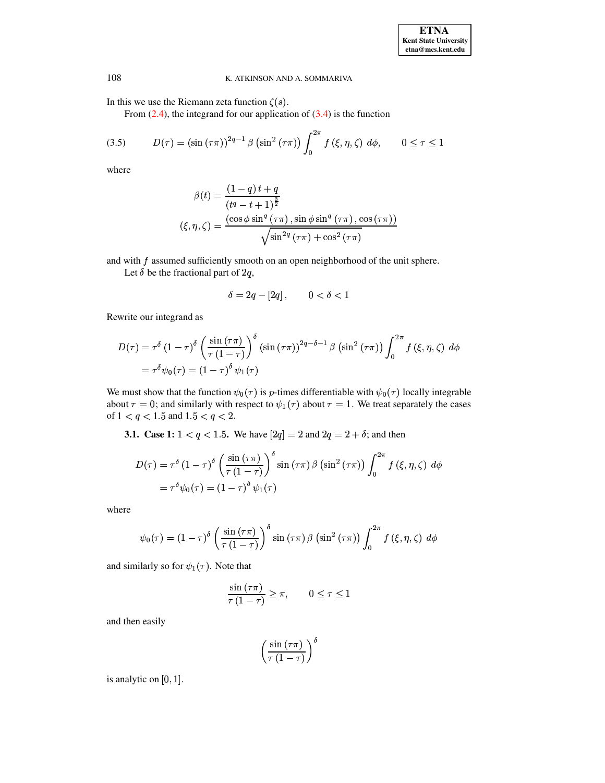In this we use the Riemann zeta function  $\zeta(s)$ .

From  $(2.4)$ , the integrand for our application of  $(3.4)$  is the function

(3.5) 
$$
D(\tau) = (\sin(\tau \pi))^{2q-1} \beta (\sin^2(\tau \pi)) \int_0^{2\pi} f(\xi, \eta, \zeta) d\phi, \qquad 0 \le \tau \le 1
$$

where

$$
\beta(t) = \frac{(1-q) t + q}{(t^q - t + 1)^{\frac{3}{2}}}
$$

$$
(\xi, \eta, \zeta) = \frac{(\cos \phi \sin^q (\tau \pi), \sin \phi \sin^q (\tau \pi), \cos (\tau \pi))}{\sqrt{\sin^{2q} (\tau \pi) + \cos^2 (\tau \pi)}}
$$

and with  $f$  assumed sufficiently smooth on an open neighborhood of the unit sphere.

Let  $\delta$  be the fractional part of 2q,

$$
\delta = 2q - [2q], \qquad 0 < \delta < 1
$$

Rewrite our integrand as

$$
D(\tau) = \tau^{\delta} (1 - \tau)^{\delta} \left( \frac{\sin (\tau \pi)}{\tau (1 - \tau)} \right)^{\delta} (\sin (\tau \pi))^{2q - \delta - 1} \beta (\sin^2 (\tau \pi)) \int_0^{2\pi} f(\xi, \eta, \zeta) d\phi
$$
  
=  $\tau^{\delta} \psi_0(\tau) = (1 - \tau)^{\delta} \psi_1(\tau)$ 

We must show that the function  $\psi_0(\tau)$  is p-times differentiable with  $\psi_0(\tau)$  locally integrable about  $\tau = 0$ ; and similarly with respect to  $\psi_1(\tau)$  about  $\tau = 1$ . We treat separately the cases of  $1 < q < 1.5$  and  $1.5 < q < 2$ .

**3.1.** Case 1:  $1 < q < 1.5$ . We have  $[2q] = 2$  and  $2q = 2 + \delta$ ; and then

$$
D(\tau) = \tau^{\delta} (1 - \tau)^{\delta} \left( \frac{\sin (\tau \pi)}{\tau (1 - \tau)} \right)^{\delta} \sin (\tau \pi) \beta (\sin^{2} (\tau \pi)) \int_{0}^{2\pi} f(\xi, \eta, \zeta) d\phi
$$
  
=  $\tau^{\delta} \psi_{0}(\tau) = (1 - \tau)^{\delta} \psi_{1}(\tau)$ 

where

$$
\psi_0(\tau) = (1 - \tau)^{\delta} \left( \frac{\sin(\tau \pi)}{\tau (1 - \tau)} \right)^{\delta} \sin(\tau \pi) \beta \left( \sin^2(\tau \pi) \right) \int_0^{2\pi} f(\xi, \eta, \zeta) d\phi
$$

and similarly so for  $\psi_1(\tau)$ . Note that

$$
\frac{\sin(\tau \pi)}{\tau(1-\tau)} \geq \pi, \qquad 0 \leq \tau \leq 1
$$

and then easily

$$
\left(\frac{\sin\left(\tau\pi\right)}{\tau\left(1-\tau\right)}\right)^{\delta}
$$

is analytic on  $[0, 1]$ .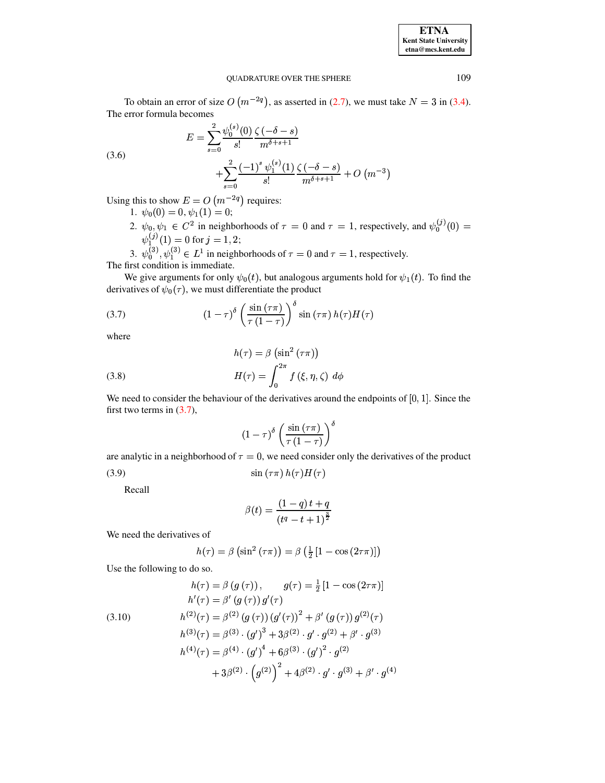## **ETNA** Kent State University  $etna@mcs. kent.edu$

#### **OUADRATURE OVER THE SPHERE**

To obtain an error of size  $O(m^{-2q})$ , as asserted in (2.7), we must take  $N = 3$  in (3.4). The error formula becomes

$$
E = \sum_{s=0}^{2} \frac{\psi_0^{(s)}(0)}{s!} \frac{\zeta(-\delta - s)}{m^{\delta + s + 1}}
$$

$$
+ \sum_{s=0}^{2} \frac{(-1)^s \psi_1^{(s)}(1)}{s!} \frac{\zeta(-\delta - s)}{m^{\delta + s + 1}} + O(m^{-3})
$$

Using this to show  $E = O(m^{-2q})$  requires:

- 1.  $\psi_0(0) = 0, \psi_1(1) = 0;$
- 2.  $\psi_0, \psi_1 \in C^2$  in neighborhoods of  $\tau = 0$  and  $\tau = 1$ , respectively, and  $\psi_0^{(j)}(0) =$  $\psi_1^{(j)}(1) = 0$  for  $j = 1, 2$ ;

3.  $\psi_0^{(3)}$ ,  $\psi_1^{(3)} \in L^1$  in neighborhoods of  $\tau = 0$  and  $\tau = 1$ , respectively. The first condition is immediate.

We give arguments for only  $\psi_0(t)$ , but analogous arguments hold for  $\psi_1(t)$ . To find the derivatives of  $\psi_0(\tau)$ , we must differentiate the product

(3.7) 
$$
(1 - \tau)^{\delta} \left( \frac{\sin(\tau \pi)}{\tau (1 - \tau)} \right)^{\delta} \sin(\tau \pi) h(\tau) H(\tau)
$$

where

 $(3.6)$ 

<span id="page-5-2"></span>(3.8) 
$$
h(\tau) = \beta \left(\sin^2 (\tau \pi)\right)
$$

$$
H(\tau) = \int_0^{2\pi} f(\xi, \eta, \zeta) d\phi
$$

We need to consider the behaviour of the derivatives around the endpoints of  $[0, 1]$ . Since the first two terms in  $(3.7)$ ,

<span id="page-5-1"></span><span id="page-5-0"></span>
$$
(1-\tau)^{\delta} \left( \frac{\sin(\tau \pi)}{\tau (1-\tau)} \right)^{\delta}
$$

are analytic in a neighborhood of  $\tau = 0$ , we need consider only the derivatives of the product  $(3.9)$  $\sin(\tau \pi) h(\tau) H(\tau)$ 

Recall

$$
\beta(t) = \frac{(1-q) t + q}{(t^{q} - t + 1)^{\frac{3}{2}}}
$$

We need the derivatives of

$$
h(\tau) = \beta \left(\sin^2\left(\tau \pi\right)\right) = \beta \left(\frac{1}{2}\left[1 - \cos\left(2\tau \pi\right)\right]\right)
$$

Use the following to do so.

(3.10)  
\n
$$
h(\tau) = \beta (g(\tau)), \qquad g(\tau) = \frac{1}{2} [1 - \cos(2\tau \pi)]
$$
\n
$$
h'(\tau) = \beta' (g(\tau)) g'(\tau)
$$
\n
$$
h^{(2)}(\tau) = \beta^{(2)} (g(\tau)) (g'(\tau))^{2} + \beta' (g(\tau)) g^{(2)}(\tau)
$$
\n
$$
h^{(3)}(\tau) = \beta^{(3)} \cdot (g')^{3} + 3\beta^{(2)} \cdot g' \cdot g^{(2)} + \beta' \cdot g^{(3)}
$$
\n
$$
h^{(4)}(\tau) = \beta^{(4)} \cdot (g')^{4} + 6\beta^{(3)} \cdot (g')^{2} \cdot g^{(2)}
$$
\n
$$
+ 3\beta^{(2)} \cdot (g^{(2)})^{2} + 4\beta^{(2)} \cdot g' \cdot g^{(3)} + \beta' \cdot g^{(4)}
$$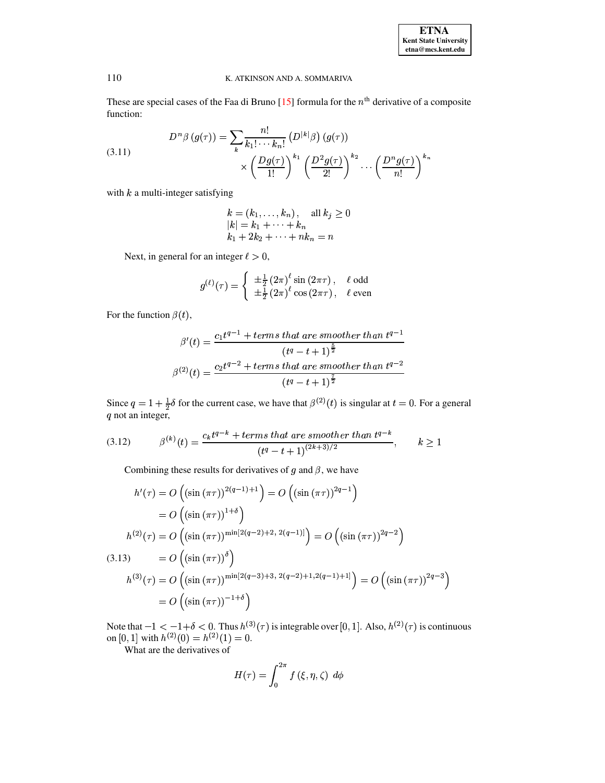| <b>ETNA</b>                  |
|------------------------------|
| <b>Kent State University</b> |
| etna@mcs.kent.edu            |

<span id="page-6-0"></span>These are special cases of the Faa di Bruno [15] formula for the  $n<sup>th</sup>$  derivative of a composite function:

(3.11) 
$$
D^{n}\beta(g(\tau)) = \sum_{k} \frac{n!}{k_1! \cdots k_n!} (D^{|k|}\beta)(g(\tau))
$$

$$
\times \left(\frac{Dg(\tau)}{1!}\right)^{k_1} \left(\frac{D^2g(\tau)}{2!}\right)^{k_2} \cdots \left(\frac{D^n g(\tau)}{n!}\right)^{k_n}
$$

with  $k$  a multi-integer satisfying

$$
k = (k_1, ..., k_n), \text{ all } k_j \ge 0
$$
  

$$
|k| = k_1 + \dots + k_n
$$
  

$$
k_1 + 2k_2 + \dots + nk_n = n
$$

Next, in general for an integer  $\ell > 0$ ,

$$
g^{(\ell)}(\tau) = \begin{cases} \pm \frac{1}{2} (2\pi)^{\ell} \sin (2\pi \tau), & \ell \text{ odd} \\ \pm \frac{1}{2} (2\pi)^{\ell} \cos (2\pi \tau), & \ell \text{ even} \end{cases}
$$

For the function  $\beta(t)$ ,

$$
\beta'(t) = \frac{c_1 t^{q-1} + terms that are smoother than t^{q-1}}{(t^q - t + 1)^{\frac{5}{2}}}
$$

$$
\beta^{(2)}(t) = \frac{c_2 t^{q-2} + terms that are smoother than t^{q-2}}{(t^q - t + 1)^{\frac{7}{2}}}
$$

Since  $q = 1 + \frac{1}{2}\delta$  for the current case, we have that  $\beta^{(2)}(t)$  is singular at  $t = 0$ . For a general q not an integer,

(3.12) 
$$
\beta^{(k)}(t) = \frac{c_k t^{q-k} + terms \, that \, are \, smoother \, than \, t^{q-k}}{(t^q - t + 1)^{(2k+3)/2}}, \qquad k \ge 1
$$

Combining these results for derivatives of  $g$  and  $\beta$ , we have

<span id="page-6-1"></span>
$$
h'(\tau) = O\left((\sin(\pi\tau))^{2(q-1)+1}\right) = O\left((\sin(\pi\tau))^{2q-1}\right)
$$
  
\n
$$
= O\left((\sin(\pi\tau))^{1+\delta}\right)
$$
  
\n
$$
h^{(2)}(\tau) = O\left((\sin(\pi\tau))^{min[2(q-2)+2, 2(q-1)]}\right) = O\left((\sin(\pi\tau))^{2q-2}\right)
$$
  
\n(3.13) 
$$
= O\left((\sin(\pi\tau))^\delta\right)
$$
  
\n
$$
h^{(3)}(\tau) = O\left((\sin(\pi\tau))^{min[2(q-3)+3, 2(q-2)+1, 2(q-1)+1]}\right) = O\left((\sin(\pi\tau))^{2q-3}\right)
$$
  
\n
$$
= O\left((\sin(\pi\tau))^{-1+\delta}\right)
$$

Note that  $-1 < -1 + \delta < 0$ . Thus  $h^{(3)}(\tau)$  is integrable over [0, 1]. Also,  $h^{(2)}(\tau)$  is continuous on [0, 1] with  $h^{(2)}(0) = h^{(2)}(1) = 0$ .

What are the derivatives of

$$
H(\tau) = \int_0^{2\pi} f(\xi, \eta, \zeta) d\phi
$$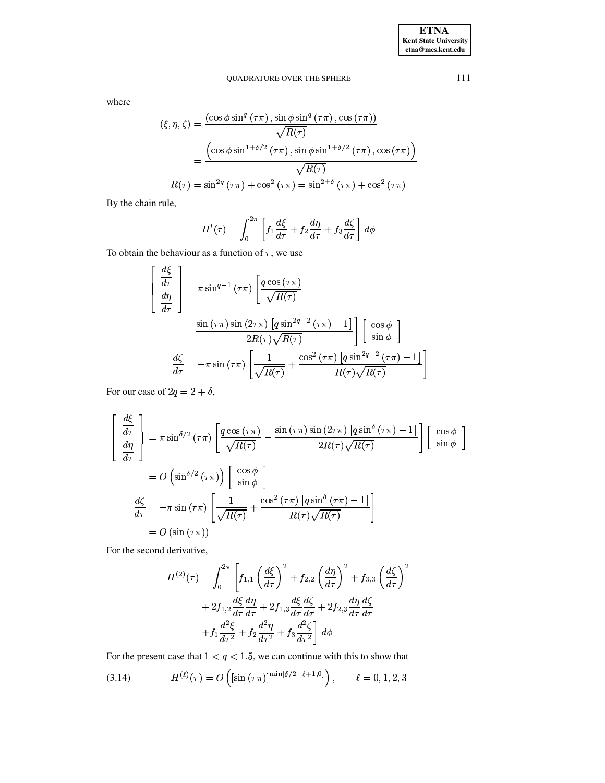## QUADRATURE OVER THE SPHERE

where

$$
\begin{aligned} \left(\xi, \eta, \zeta\right) &= \frac{\left(\cos\phi\sin^q\left(\tau\pi\right), \sin\phi\sin^q\left(\tau\pi\right), \cos\left(\tau\pi\right)\right)}{\sqrt{R(\tau)}}\\ &= \frac{\left(\cos\phi\sin^{1+\delta/2}\left(\tau\pi\right), \sin\phi\sin^{1+\delta/2}\left(\tau\pi\right), \cos\left(\tau\pi\right)\right)}{\sqrt{R(\tau)}}\\ R(\tau) &= \sin^{2q}\left(\tau\pi\right) + \cos^2\left(\tau\pi\right) = \sin^{2+\delta}\left(\tau\pi\right) + \cos^2\left(\tau\pi\right) \end{aligned}
$$

By the chain rule,

$$
H'(\tau) = \int_0^{2\pi} \left[ f_1 \frac{d\xi}{d\tau} + f_2 \frac{d\eta}{d\tau} + f_3 \frac{d\zeta}{d\tau} \right] d\phi
$$

To obtain the behaviour as a function of  $\tau$ , we use

 $\sim$   $\sim$ 

$$
\begin{aligned}\n\frac{d\xi}{d\tau} \\
\frac{d\eta}{d\tau}\n\end{aligned}\n= \pi \sin^{q-1} (\tau \pi) \left[ \frac{q \cos(\tau \pi)}{\sqrt{R(\tau)}} -\frac{\sin(\tau \pi) \sin(2\tau \pi) [q \sin^{2q-2}(\tau \pi) - 1]}{2R(\tau) \sqrt{R(\tau)}} \right] \left[ \cos \phi \atop \sin \phi \right]\n\frac{d\zeta}{d\tau} = -\pi \sin(\tau \pi) \left[ \frac{1}{\sqrt{R(\tau)}} + \frac{\cos^2(\tau \pi) [q \sin^{2q-2}(\tau \pi) - 1]}{R(\tau) \sqrt{R(\tau)}} \right]
$$

For our case of  $2q = 2 + \delta$ ,

$$
\begin{bmatrix}\n\frac{d\xi}{d\tau} \\
\frac{d\eta}{d\tau}\n\end{bmatrix} = \pi \sin^{5/2} (\tau \pi) \left[ \frac{q \cos(\tau \pi)}{\sqrt{R(\tau)}} - \frac{\sin(\tau \pi) \sin(2\tau \pi) [q \sin^{\delta}(\tau \pi) - 1]}{2R(\tau) \sqrt{R(\tau)}} \right] \begin{bmatrix}\n\cos \phi \\
\sin \phi\n\end{bmatrix}
$$
\n
$$
= O\left(\sin^{5/2}(\tau \pi)\right) \begin{bmatrix}\n\cos \phi \\
\sin \phi\n\end{bmatrix}
$$
\n
$$
\frac{d\zeta}{d\tau} = -\pi \sin(\tau \pi) \left[ \frac{1}{\sqrt{R(\tau)}} + \frac{\cos^2(\tau \pi) [q \sin^{\delta}(\tau \pi) - 1]}{R(\tau) \sqrt{R(\tau)}} \right]
$$
\n
$$
= O\left(\sin(\tau \pi)\right)
$$

For the second derivative,

<span id="page-7-0"></span>
$$
H^{(2)}(\tau) = \int_0^{2\pi} \left[ f_{1,1} \left( \frac{d\xi}{d\tau} \right)^2 + f_{2,2} \left( \frac{d\eta}{d\tau} \right)^2 + f_{3,3} \left( \frac{d\zeta}{d\tau} \right)^2
$$
  
+ 
$$
2f_{1,2} \frac{d\xi}{d\tau} \frac{d\eta}{d\tau} + 2f_{1,3} \frac{d\xi}{d\tau} \frac{d\zeta}{d\tau} + 2f_{2,3} \frac{d\eta}{d\tau} \frac{d\zeta}{d\tau}
$$
  
+ 
$$
f_1 \frac{d^2\xi}{d\tau^2} + f_2 \frac{d^2\eta}{d\tau^2} + f_3 \frac{d^2\zeta}{d\tau^2} \right] d\phi
$$

For the present case that  $1 < q < 1.5$ , we can continue with this to show that

(3.14) 
$$
H^{(\ell)}(\tau) = O\left( \left[ \sin \left( \tau \pi \right) \right]^{ \min[\delta/2 - \ell + 1, 0]} \right), \quad \ell = 0, 1, 2, 3
$$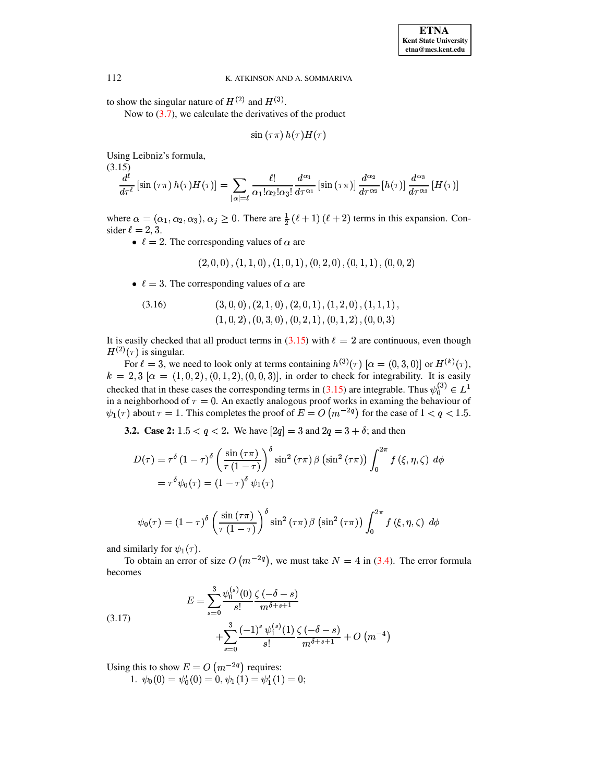to show the singular nature of  $H^{(2)}$  and  $H^{(3)}$ .

Now to  $(3.7)$ , we calculate the derivatives of the product

$$
\sin(\tau \pi) h(\tau) H(\tau)
$$

<span id="page-8-0"></span>Using Leibniz's formula,

$$
\frac{d^{\ell}}{d\tau^{\ell}}\left[\sin\left(\tau\pi\right)h(\tau)H(\tau)\right] = \sum_{|\alpha|=\ell}\frac{\ell!}{\alpha_1!\alpha_2!\alpha_3!}\frac{d^{\alpha_1}}{d\tau^{\alpha_1}}\left[\sin\left(\tau\pi\right)\right]\frac{d^{\alpha_2}}{d\tau^{\alpha_2}}\left[h(\tau)\right]\frac{d^{\alpha_3}}{d\tau^{\alpha_3}}\left[H(\tau)\right]
$$

where  $\alpha = (\alpha_1, \alpha_2, \alpha_3), \alpha_j \ge 0$ . There are  $\frac{1}{2}(\ell + 1)(\ell + 2)$  terms in this expansion. Consider  $\ell = 2, 3$ .

•  $\ell = 2$ . The corresponding values of  $\alpha$  are

$$
(2,0,0), (1,1,0), (1,0,1), (0,2,0), (0,1,1), (0,0,2)
$$

•  $\ell = 3$ . The corresponding values of  $\alpha$  are

$$
(3,0,0), (2,1,0), (2,0,1), (1,2,0), (1,1,1),(1,0,2), (0,3,0), (0,2,1), (0,1,2), (0,0,3)
$$

<span id="page-8-1"></span>It is easily checked that all product terms in (3.15) with  $\ell = 2$  are continuous, even though  $H^{(2)}(\tau)$  is singular.

For  $\ell = 3$ , we need to look only at terms containing  $h^{(3)}(\tau)$  [ $\alpha = (0,3,0)$ ] or  $H^{(k)}(\tau)$ ,  $k = 2,3$  [ $\alpha = (1,0,2)$ ,  $(0,1,2)$ ,  $(0,0,3)$ ], in order to check for integrability. It is easily checked that in these cases the corresponding terms in (3.15) are integrable. Thus  $\psi_0^{(3)} \in L^1$ in a neighborhood of  $\tau = 0$ . An exactly analogous proof works in examing the behaviour of  $\psi_1(\tau)$  about  $\tau = 1$ . This completes the proof of  $E = O(m^{-2q})$  for the case of  $1 < q < 1.5$ .

**3.2.** Case 2:  $1.5 < q < 2$ . We have  $[2q] = 3$  and  $2q = 3 + \delta$ ; and then

$$
D(\tau) = \tau^{\delta} (1 - \tau)^{\delta} \left( \frac{\sin (\tau \pi)}{\tau (1 - \tau)} \right)^{\delta} \sin^2 (\tau \pi) \beta (\sin^2 (\tau \pi)) \int_0^{2\pi} f(\xi, \eta, \zeta) d\phi
$$
  
=  $\tau^{\delta} \psi_0(\tau) = (1 - \tau)^{\delta} \psi_1(\tau)$ 

$$
\psi_0(\tau) = (1 - \tau)^{\delta} \left( \frac{\sin(\tau \pi)}{\tau (1 - \tau)} \right)^{\delta} \sin^2(\tau \pi) \beta \left( \sin^2(\tau \pi) \right) \int_0^{2\pi} f(\xi, \eta, \zeta) d\phi
$$

and similarly for  $\psi_1(\tau)$ .

To obtain an error of size  $O(m^{-2q})$ , we must take  $N = 4$  in (3.4). The error formula becomes

(3.17) 
$$
E = \sum_{s=0}^{3} \frac{\psi_0^{(s)}(0)}{s!} \frac{\zeta(-\delta - s)}{m^{\delta + s + 1}} + \sum_{s=0}^{3} \frac{(-1)^s \psi_1^{(s)}(1)}{s!} \frac{\zeta(-\delta - s)}{m^{\delta + s + 1}} + O(m^{-4})
$$

Using this to show  $E = O(m^{-2q})$  requires:

1.  $\psi_0(0) = \psi'_0(0) = 0, \psi_1(1) = \psi'_1(1) = 0;$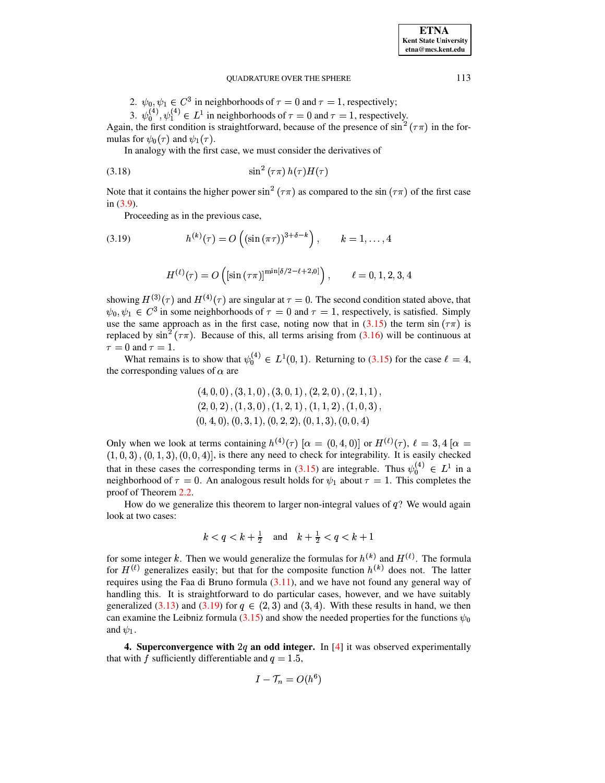**ETNA Kent State University** etna@mcs.kent.edu

#### **OUADRATURE OVER THE SPHERE**

2.  $\psi_0, \psi_1 \in C^3$  in neighborhoods of  $\tau = 0$  and  $\tau = 1$ , respectively;

3.  $\psi_0^{(4)}$ ,  $\psi_1^{(4)} \in L^1$  in neighborhoods of  $\tau = 0$  and  $\tau = 1$ , respectively.

Again, the first condition is straightforward, because of the presence of  $\sin^2(\tau \pi)$  in the formulas for  $\psi_0(\tau)$  and  $\psi_1(\tau)$ .

In analogy with the first case, we must consider the derivatives of

$$
\sin^2\left(\tau\pi\right)h(\tau)H(\tau)
$$

Note that it contains the higher power  $\sin^2(\tau \pi)$  as compared to the  $\sin(\tau \pi)$  of the first case in  $(3.9)$ .

Proceeding as in the previous case,

(3.19) 
$$
h^{(k)}(\tau) = O\left((\sin(\pi \tau))^{3+\delta-k}\right), \qquad k = 1, ..., 4
$$

<span id="page-9-1"></span>
$$
H^{(\ell)}(\tau) = O\left( [\sin\left(\tau \pi\right)]^{\min[\delta/2 - \ell + 2, 0]} \right), \qquad \ell = 0, 1, 2, 3, 4
$$

showing  $H^{(3)}(\tau)$  and  $H^{(4)}(\tau)$  are singular at  $\tau = 0$ . The second condition stated above, that  $\psi_0, \psi_1 \in C^3$  in some neighborhoods of  $\tau = 0$  and  $\tau = 1$ , respectively, is satisfied. Simply use the same approach as in the first case, noting now that in (3.15) the term  $\sin(\tau \pi)$  is replaced by  $\sin^2(\tau \pi)$ . Because of this, all terms arising from (3.16) will be continuous at  $\tau = 0$  and  $\tau = 1$ .

What remains is to show that  $\psi_0^{(4)} \in L^1(0,1)$ . Returning to (3.15) for the case  $\ell = 4$ , the corresponding values of  $\alpha$  are

$$
(4,0,0), (3,1,0), (3,0,1), (2,2,0), (2,1,1),\\(2,0,2), (1,3,0), (1,2,1), (1,1,2), (1,0,3),\\(0,4,0), (0,3,1), (0,2,2), (0,1,3), (0,0,4)
$$

Only when we look at terms containing  $h^{(4)}(\tau)$  [ $\alpha = (0, 4, 0)$ ] or  $H^{(\ell)}(\tau)$ ,  $\ell = 3, 4$  [ $\alpha =$  $(1,0,3)$ ,  $(0,1,3)$ ,  $(0,0,4)$ ], is there any need to check for integrability. It is easily checked that in these cases the corresponding terms in (3.15) are integrable. Thus  $\psi_0^{(4)} \in L^1$  in a neighborhood of  $\tau = 0$ . An analogous result holds for  $\psi_1$  about  $\tau = 1$ . This completes the proof of Theorem 2.2.

How do we generalize this theorem to larger non-integral values of  $q$ ? We would again look at two cases:

$$
k < q < k + \frac{1}{2}
$$
 and  $k + \frac{1}{2} < q < k + 1$ 

for some integer k. Then we would generalize the formulas for  $h^{(k)}$  and  $H^{(\ell)}$ . The formula for  $H^{(\ell)}$  generalizes easily; but that for the composite function  $h^{(k)}$  does not. The latter requires using the Faa di Bruno formula  $(3.11)$ , and we have not found any general way of handling this. It is straightforward to do particular cases, however, and we have suitably generalized (3.13) and (3.19) for  $q \in (2,3)$  and (3,4). With these results in hand, we then can examine the Leibniz formula (3.15) and show the needed properties for the functions  $\psi_0$ and  $\psi_1$ .

<span id="page-9-0"></span>4. Superconvergence with  $2q$  an odd integer. In [4] it was observed experimentally that with f sufficiently differentiable and  $q = 1.5$ ,

$$
I-\mathcal{T}_n=O(h^6)
$$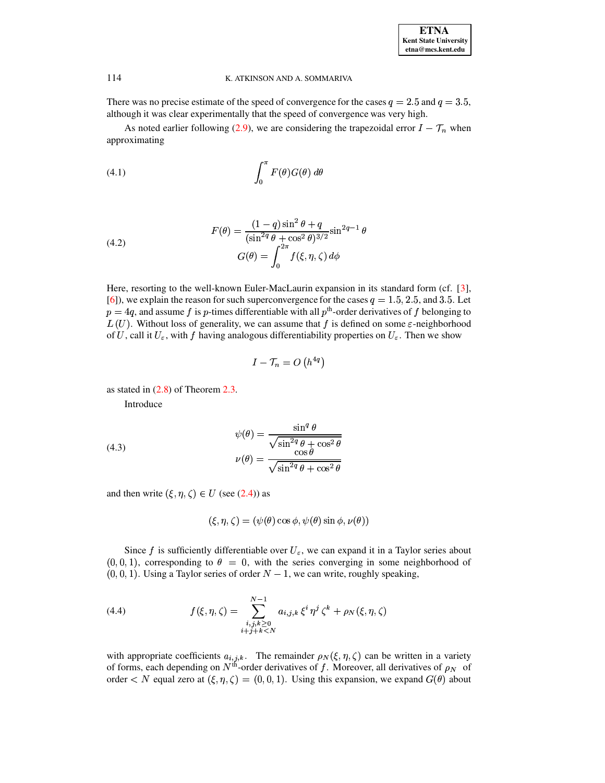There was no precise estimate of the speed of convergence for the cases  $q = 2.5$  and  $q = 3.5$ , although it was clear experimentally that the speed of convergence was very high.

<span id="page-10-1"></span>As noted earlier following (2.9), we are considering the trapezoidal error  $I - T_n$  when approximating

$$
(4.1)\qquad \qquad \int_0^\pi F(\theta)G(\theta)\ d\theta
$$

(4.2) 
$$
F(\theta) = \frac{(1-q)\sin^2 \theta + q}{(\sin^{2q} \theta + \cos^2 \theta)^{3/2}} \sin^{2q-1} \theta
$$

$$
G(\theta) = \int_0^{2\pi} f(\xi, \eta, \zeta) d\phi
$$

Here, resorting to the well-known Euler-MacLaurin expansion in its standard form (cf. [3], [6]), we explain the reason for such superconvergence for the cases  $q = 1.5, 2.5$ , and 3.5. Let  $p = 4q$ , and assume f is p-times differentiable with all p<sup>th</sup>-order derivatives of f belonging to  $L(U)$ . Without loss of generality, we can assume that f is defined on some  $\varepsilon$ -neighborhood of U, call it  $U_{\varepsilon}$ , with f having analogous differentiability properties on  $U_{\varepsilon}$ . Then we show

$$
I - \mathcal{T}_n = O\left(h^{4q}\right)
$$

<span id="page-10-0"></span>as stated in  $(2.8)$  of Theorem 2.3.

Introduce

(4.3)  

$$
\psi(\theta) = \frac{\sin^q \theta}{\sqrt{\sin^{2q} \theta + \cos^2 \theta}}
$$

$$
\nu(\theta) = \frac{\cos \theta}{\sqrt{\sin^{2q} \theta + \cos^2 \theta}}
$$

and then write  $(\xi, \eta, \zeta) \in U$  (see (2.4)) as

$$
(\xi, \eta, \zeta) = (\psi(\theta) \cos \phi, \psi(\theta) \sin \phi, \nu(\theta))
$$

Since f is sufficiently differentiable over  $U_{\varepsilon}$ , we can expand it in a Taylor series about  $(0,0,1)$ , corresponding to  $\theta = 0$ , with the series converging in some neighborhood of  $(0,0,1)$ . Using a Taylor series of order  $N-1$ , we can write, roughly speaking,

(4.4) 
$$
f(\xi, \eta, \zeta) = \sum_{\substack{i,j,k \geq 0 \\ i+j+k < N}}^{N-1} a_{i,j,k} \, \xi^i \, \eta^j \, \zeta^k + \rho_N(\xi, \eta, \zeta)
$$

with appropriate coefficients  $a_{i,j,k}$ . The remainder  $\rho_N(\xi, \eta, \zeta)$  can be written in a variety of forms, each depending on  $N^{\text{th}}$ -order derivatives of f. Moreover, all derivatives of  $\rho_N$  of order  $\langle N \rangle$  equal zero at  $(\xi, \eta, \zeta) = (0, 0, 1)$ . Using this expansion, we expand  $G(\theta)$  about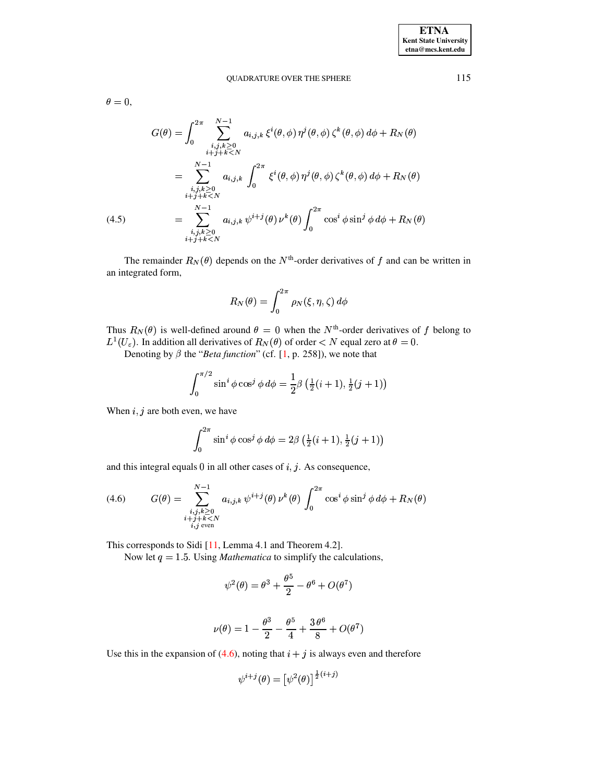#### **OUADRATURE OVER THE SPHERE**

115

 $\theta = 0,$ 

$$
G(\theta) = \int_0^{2\pi} \sum_{\substack{i,j,k \ge 0 \\ i+j+k < N}}^{N-1} a_{i,j,k} \xi^i(\theta,\phi) \eta^j(\theta,\phi) \zeta^k(\theta,\phi) d\phi + R_N(\theta)
$$
\n
$$
= \sum_{\substack{i,j,k \ge 0 \\ i+j+k < N}}^{N-1} a_{i,j,k} \int_0^{2\pi} \xi^i(\theta,\phi) \eta^j(\theta,\phi) \zeta^k(\theta,\phi) d\phi + R_N(\theta)
$$
\n
$$
= \sum_{\substack{i,j,k \ge 0 \\ i+j+k < N}}^{N-1} a_{i,j,k} \psi^{i+j}(\theta) \nu^k(\theta) \int_0^{2\pi} \cos^i \phi \sin^j \phi d\phi + R_N(\theta)
$$

The remainder  $R_N(\theta)$  depends on the N<sup>th</sup>-order derivatives of f and can be written in an integrated form,

$$
R_N(\theta) = \int_0^{2\pi} \rho_N(\xi, \eta, \zeta) d\phi
$$

Thus  $R_N(\theta)$  is well-defined around  $\theta = 0$  when the  $N^{\text{th}}$ -order derivatives of f belong to  $L^1(U_\varepsilon)$ . In addition all derivatives of  $R_N(\theta)$  of order  $\langle N \rangle$  equal zero at  $\theta = 0$ .

Denoting by  $\beta$  the "Beta function" (cf. [1, p. 258]), we note that

$$
\int_0^{\pi/2} \sin^i \phi \cos^j \phi \, d\phi = \frac{1}{2} \beta \left( \frac{1}{2} (i+1), \frac{1}{2} (j+1) \right)
$$

When  $i, j$  are both even, we have

<span id="page-11-0"></span>
$$
\int_0^{2\pi} \sin^i \phi \cos^j \phi \, d\phi = 2\beta \left( \frac{1}{2} (i+1), \frac{1}{2} (j+1) \right)
$$

and this integral equals  $0$  in all other cases of  $i, j$ . As consequence,

(4.6) 
$$
G(\theta) = \sum_{\substack{i,j,k \geq 0 \\ i+j+k < N \\ i,j \text{ even}}}^{N-1} a_{i,j,k} \psi^{i+j}(\theta) \nu^k(\theta) \int_0^{2\pi} \cos^i \phi \sin^j \phi \, d\phi + R_N(\theta)
$$

This corresponds to Sidi  $[11,$  Lemma 4.1 and Theorem 4.2].

Now let  $q = 1.5$ . Using *Mathematica* to simplify the calculations,

$$
\psi^2(\theta) = \theta^3 + \frac{\theta^5}{2} - \theta^6 + O(\theta^7)
$$

$$
\nu(\theta) = 1 - \frac{\theta^3}{2} - \frac{\theta^5}{4} + \frac{3\,\theta^6}{8} + O(\theta^7)
$$

Use this in the expansion of (4.6), noting that  $i + j$  is always even and therefore

$$
\psi^{i+j}(\theta) = \left[\psi^2(\theta)\right]^{\frac{1}{2}(i+j)}
$$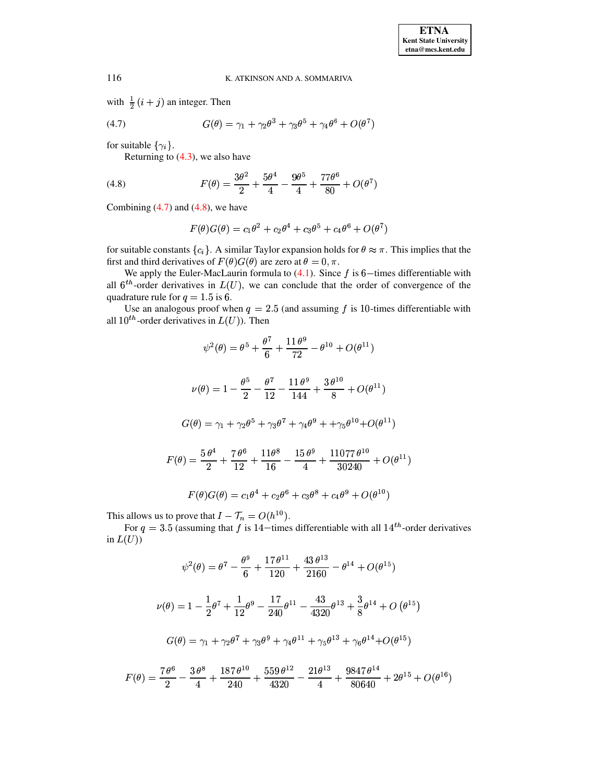<span id="page-12-0"></span>with  $\frac{1}{2}(i+j)$  an integer. Then

$$
(4.7) \tG(\theta) = \gamma_1 + \gamma_2 \theta^3 + \gamma_3 \theta^5 + \gamma_4 \theta^6 + O(\theta^7)
$$

for suitable  $\{\gamma_i\}$ .

<span id="page-12-1"></span>Returning to  $(4.3)$ , we also have

(4.8) 
$$
F(\theta) = \frac{3\theta^2}{2} + \frac{5\theta^4}{4} - \frac{9\theta^5}{4} + \frac{77\theta^6}{80} + O(\theta^7)
$$

Combining  $(4.7)$  and  $(4.8)$ , we have

$$
F(\theta)G(\theta) = c_1\theta^2 + c_2\theta^4 + c_3\theta^5 + c_4\theta^6 + O(\theta^7)
$$

for suitable constants  $\{c_i\}$ . A similar Taylor expansion holds for  $\theta \approx \pi$ . This implies that the first and third derivatives of  $F(\theta)G(\theta)$  are zero at  $\theta = 0, \pi$ .

We apply the Euler-MacLaurin formula to  $(4.1)$ . Since f is 6-times differentiable with all  $6^{th}$ -order derivatives in  $L(U)$ , we can conclude that the order of convergence of the quadrature rule for  $q = 1.5$  is 6.

Use an analogous proof when  $q = 2.5$  (and assuming f is 10-times differentiable with all  $10^{th}$ -order derivatives in  $L(U)$ ). Then

$$
\psi^2(\theta) = \theta^5 + \frac{\theta^7}{6} + \frac{11\theta^9}{72} - \theta^{10} + O(\theta^{11})
$$

$$
\nu(\theta) = 1 - \frac{\theta^5}{2} - \frac{\theta^7}{12} - \frac{11\theta^9}{144} + \frac{3\theta^{10}}{8} + O(\theta^{11})
$$

$$
G(\theta) = \gamma_1 + \gamma_2 \theta^5 + \gamma_3 \theta^7 + \gamma_4 \theta^9 + \gamma_5 \theta^{10} + O(\theta^{11})
$$

$$
F(\theta) = \frac{5\theta^4}{2} + \frac{7\theta^6}{12} + \frac{11\theta^8}{16} - \frac{15\theta^9}{4} + \frac{11077\theta^{10}}{30240} + O(\theta^{11})
$$

$$
F(\theta)G(\theta) = c_1 \theta^4 + c_2 \theta^6 + c_3 \theta^8 + c_4 \theta^9 + O(\theta^{10})
$$

This allows us to prove that  $I - \mathcal{T}_n = O(h^{10})$ .

For  $q = 3.5$  (assuming that f is 14-times differentiable with all  $14^{th}$ -order derivatives in  $L(U)$ )

$$
\psi^2(\theta) = \theta^7 - \frac{\theta^9}{6} + \frac{17 \theta^{11}}{120} + \frac{43 \theta^{13}}{2160} - \theta^{14} + O(\theta^{15})
$$

$$
\nu(\theta) = 1 - \frac{1}{2}\theta^7 + \frac{1}{12}\theta^9 - \frac{17}{240}\theta^{11} - \frac{43}{4320}\theta^{13} + \frac{3}{8}\theta^{14} + O(\theta^{15})
$$

$$
G(\theta) = \gamma_1 + \gamma_2\theta^7 + \gamma_3\theta^9 + \gamma_4\theta^{11} + \gamma_5\theta^{13} + \gamma_6\theta^{14} + O(\theta^{15})
$$

$$
F(\theta) = \frac{7 \theta^6}{2} - \frac{3 \theta^8}{4} + \frac{187 \theta^{10}}{240} + \frac{559 \theta^{12}}{4320} - \frac{21 \theta^{13}}{4} + \frac{9847 \theta^{14}}{80640} + 2\theta^{15} + O(\theta^{16})
$$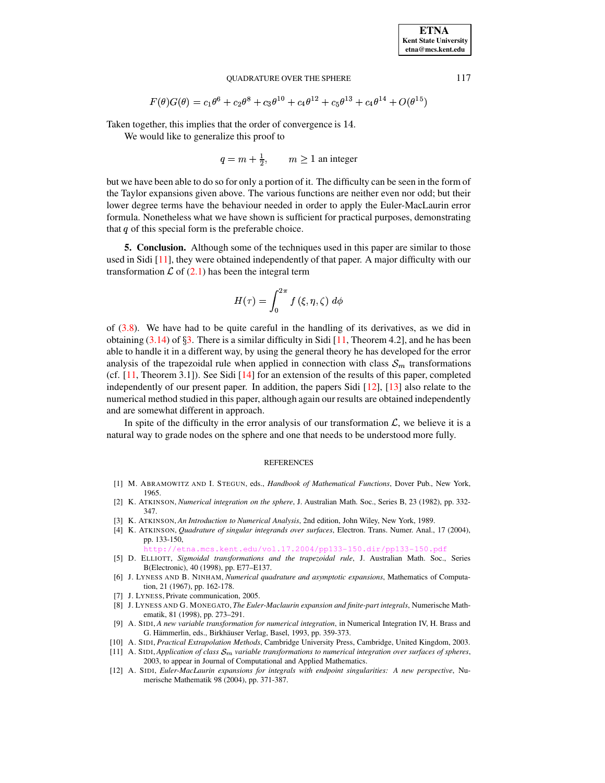#### QUADRATURE OVER THE SPHERE 117

$$
F(\theta)G(\theta) = c_1\theta^6 + c_2\theta^8 + c_3\theta^{10} + c_4\theta^{12} + c_5\theta^{13} + c_4\theta^{14} + O(\theta^{15})
$$

Taken together, this implies that the order of convergence is 14.

We would like to generalize this proof to

 $q = m + \frac{1}{2}$ ,  $m \ge 1$  an integer

but we have been able to do so for only a portion of it. The difficulty can be seen in the form of the Taylor expansions given above. The various functions are neither even nor odd; but their lower degree terms have the behaviour needed in order to apply the Euler-MacLaurin error formula. Nonetheless what we have shown is sufficient for practical purposes, demonstrating that  $q$  of this special form is the preferable choice.

**5. Conclusion.** Although some of the techniques used in this paper are similar to those used in Sidi [\[11\]](#page-13-1), they were obtained independently of that paper. A major difficulty with our transformation  $\mathcal L$  of [\(2.1\)](#page-1-1) has been the integral term

$$
H(\tau)=\int_0^{2\pi}f\left(\xi,\eta,\zeta\right)\,d\phi
$$

of  $(3.8)$ . We have had to be quite careful in the handling of its derivatives, as we did in obtaining  $(3.14)$  of  $\S3$ . There is a similar difficulty in Sidi [\[11,](#page-13-1) Theorem 4.2], and he has been able to handle it in a different way, by using the general theory he has developed for the error analysis of the trapezoidal rule when applied in connection with class  $S_m$  transformations (cf.  $[11,$  Theorem 3.1]). See Sidi  $[14]$  for an extension of the results of this paper, completed independently of our present paper. In addition, the papers Sidi  $[12]$ ,  $[13]$  also relate to the numerical method studied in this paper, although again our results are obtained independently and are somewhat different in approach.

In spite of the difficulty in the error analysis of our transformation  $\mathcal{L}$ , we believe it is a natural way to grade nodes on the sphere and one that needs to be understood more fully.

#### **REFERENCES**

- <span id="page-13-8"></span>[1] M. ABRAMOWITZ AND I. STEGUN, eds., *Handbook of Mathematical Functions*, Dover Pub., New York, 1965.
- <span id="page-13-3"></span>[2] K. ATKINSON, *Numerical integration on the sphere*, J. Australian Math. Soc., Series B, 23 (1982), pp. 332- 347.
- [3] K. ATKINSON, *An Introduction to Numerical Analysis*, 2nd edition, John Wiley, New York, 1989.
- <span id="page-13-0"></span>[4] K. ATKINSON, *Quadrature of singular integrands over surfaces*, Electron. Trans. Numer. Anal., 17 (2004), pp. 133-150,

etna.mcs.kent.edu/vol.17.2004/pp133-150.dir/pp133-150.pdf

- [5] D. ELLIOTT, *Sigmoidal transformations and the trapezoidal rule*, J. Australian Math. Soc., Series B(Electronic), 40 (1998), pp. E77–E137.
- <span id="page-13-5"></span>[6] J. LYNESS AND B. NINHAM, *Numerical quadrature and asymptotic expansions*, Mathematics of Computation, 21 (1967), pp. 162-178.
- <span id="page-13-7"></span><span id="page-13-6"></span>[7] J. LYNESS, Private communication, 2005.
- [8] J. LYNESS AND G. MONEGATO, *The Euler-Maclaurin expansion and finite-part integrals*, Numerische Mathematik, 81 (1998), pp. 273–291.
- <span id="page-13-2"></span>[9] A. SIDI, *A new variable transformation for numerical integration*, in Numerical Integration IV, H. Brass and G. Hämmerlin, eds., Birkhäuser Verlag, Basel, 1993, pp. 359-373.
- <span id="page-13-4"></span><span id="page-13-1"></span>[10] A. SIDI, *Practical Extrapolation Methods*, Cambridge University Press, Cambridge, United Kingdom, 2003.
- $[11]$  A. SIDI, *Application of class*  $S_m$  *variable transformations to numerical integration over surfaces of spheres*, 2003, to appear in Journal of Computational and Applied Mathematics.
- <span id="page-13-9"></span>[12] A. SIDI, *Euler-MacLaurin expansions for integrals with endpoint singularities: A new perspective*, Numerische Mathematik 98 (2004), pp. 371-387.